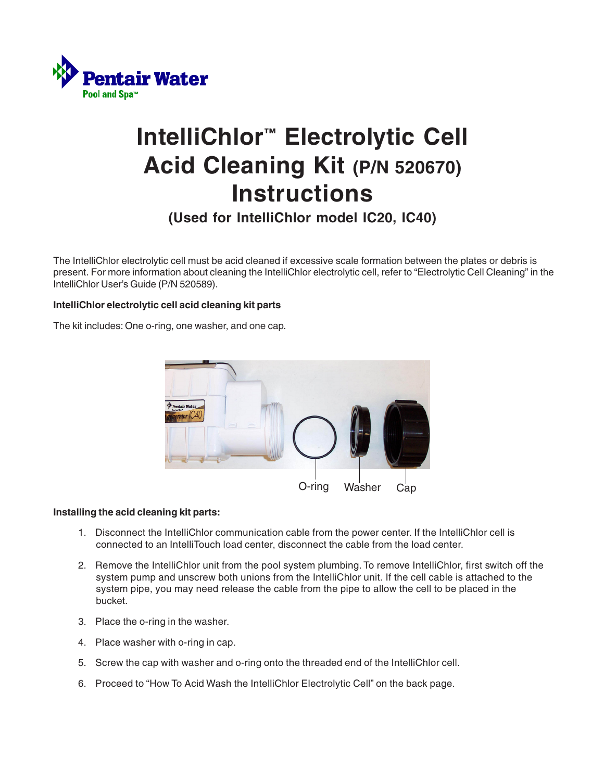

# **IntelliChlor™ Electrolytic Cell Acid Cleaning Kit (P/N 520670) Instructions**

**(Used for IntelliChlor model IC20, IC40)**

The IntelliChlor electrolytic cell must be acid cleaned if excessive scale formation between the plates or debris is present. For more information about cleaning the IntelliChlor electrolytic cell, refer to "Electrolytic Cell Cleaning" in the IntelliChlor User's Guide (P/N 520589).

### **IntelliChlor electrolytic cell acid cleaning kit parts**

The kit includes: One o-ring, one washer, and one cap.



### **Installing the acid cleaning kit parts:**

- 1. Disconnect the IntelliChlor communication cable from the power center. If the IntelliChlor cell is connected to an IntelliTouch load center, disconnect the cable from the load center.
- 2. Remove the IntelliChlor unit from the pool system plumbing. To remove IntelliChlor, first switch off the system pump and unscrew both unions from the IntelliChlor unit. If the cell cable is attached to the system pipe, you may need release the cable from the pipe to allow the cell to be placed in the bucket.
- 3. Place the o-ring in the washer.
- 4. Place washer with o-ring in cap.
- 5. Screw the cap with washer and o-ring onto the threaded end of the IntelliChlor cell.
- 6. Proceed to "How To Acid Wash the IntelliChlor Electrolytic Cell" on the back page.